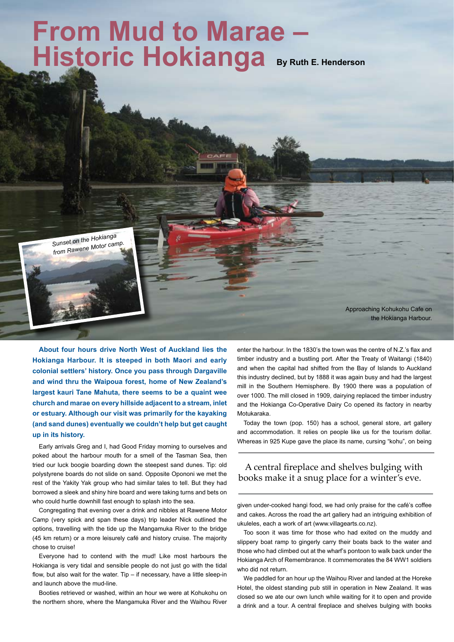## **Historic Hokianga** By Ruth E. Henderson **From Mud to Marae –**

*Sunset on the Hokianga from Rawene Motor camp.*

> Approaching Kohukohu Cafe on the Hokianga Harbour.

**About four hours drive North West of Auckland lies the Hokianga Harbour. It is steeped in both Maori and early colonial settlers' history. Once you pass through Dargaville and wind thru the Waipoua forest, home of New Zealand's largest kauri Tane Mahuta, there seems to be a quaint wee church and marae on every hillside adjacent to a stream, inlet or estuary. Although our visit was primarily for the kayaking (and sand dunes) eventually we couldn't help but get caught up in its history.**

Early arrivals Greg and I, had Good Friday morning to ourselves and poked about the harbour mouth for a smell of the Tasman Sea, then tried our luck boogie boarding down the steepest sand dunes. Tip: old polystyrene boards do not slide on sand. Opposite Opononi we met the rest of the Yakity Yak group who had similar tales to tell. But they had borrowed a sleek and shiny hire board and were taking turns and bets on who could hurtle downhill fast enough to splash into the sea.

Congregating that evening over a drink and nibbles at Rawene Motor Camp (very spick and span these days) trip leader Nick outlined the options, travelling with the tide up the Mangamuka River to the bridge (45 km return) or a more leisurely café and history cruise. The majority chose to cruise!

Everyone had to contend with the mud! Like most harbours the Hokianga is very tidal and sensible people do not just go with the tidal flow, but also wait for the water. Tip – if necessary, have a little sleep-in and launch above the mud-line.

Booties retrieved or washed, within an hour we were at Kohukohu on the northern shore, where the Mangamuka River and the Waihou River

enter the harbour. In the 1830's the town was the centre of N.Z.'s flax and timber industry and a bustling port. After the Treaty of Waitangi (1840) and when the capital had shifted from the Bay of Islands to Auckland this industry declined, but by 1888 it was again busy and had the largest mill in the Southern Hemisphere. By 1900 there was a population of over 1000. The mill closed in 1909, dairying replaced the timber industry and the Hokianga Co-Operative Dairy Co opened its factory in nearby Motukaraka.

Today the town (pop. 150) has a school, general store, art gallery and accommodation. It relies on people like us for the tourism dollar. Whereas in 925 Kupe gave the place its name, cursing "kohu", on being

## A central fireplace and shelves bulging with books make it a snug place for a winter's eve.

given under-cooked hangi food, we had only praise for the café's coffee and cakes. Across the road the art gallery had an intriguing exhibition of ukuleles, each a work of art (www.villagearts.co.nz).

Too soon it was time for those who had exited on the muddy and slippery boat ramp to gingerly carry their boats back to the water and those who had climbed out at the wharf's pontoon to walk back under the Hokianga Arch of Remembrance. It commemorates the 84 WW1 soldiers who did not return.

We paddled for an hour up the Waihou River and landed at the Horeke Hotel, the oldest standing pub still in operation in New Zealand. It was closed so we ate our own lunch while waiting for it to open and provide a drink and a tour. A central fireplace and shelves bulging with books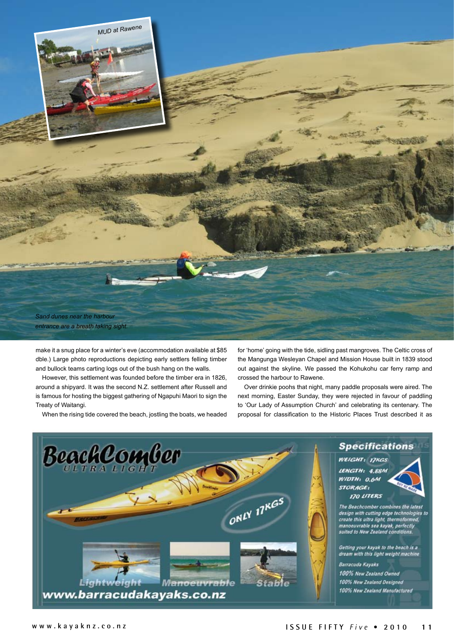

make it a snug place for a winter's eve (accommodation available at \$85 dble.) Large photo reproductions depicting early settlers felling timber and bullock teams carting logs out of the bush hang on the walls.

However, this settlement was founded before the timber era in 1826, around a shipyard. It was the second N.Z. settlement after Russell and is famous for hosting the biggest gathering of Ngapuhi Maori to sign the Treaty of Waitangi.

When the rising tide covered the beach, jostling the boats, we headed

for 'home' going with the tide, sidling past mangroves. The Celtic cross of the Mangunga Wesleyan Chapel and Mission House built in 1839 stood out against the skyline. We passed the Kohukohu car ferry ramp and crossed the harbour to Rawene.

Over drinkie poohs that night, many paddle proposals were aired. The next morning, Easter Sunday, they were rejected in favour of paddling to 'Our Lady of Assumption Church' and celebrating its centenary. The proposal for classification to the Historic Places Trust described it as

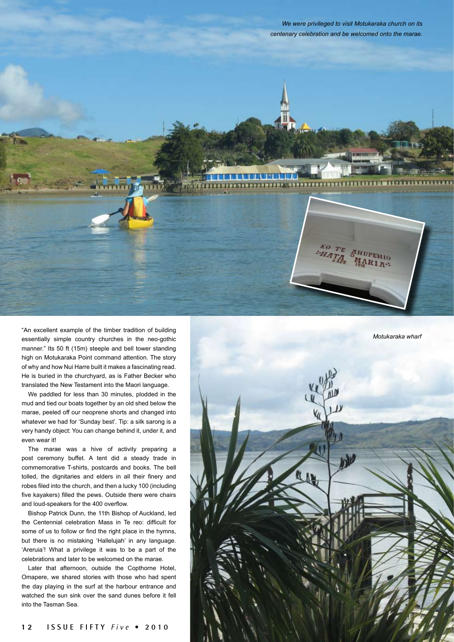



"An excellent example of the timber tradition of building essentially simple country churches in the neo-gothic manner." Its 50 ft (15m) steeple and bell tower standing high on Motukaraka Point command attention. The story of why and how Nui Harre built it makes a fascinating read. He is buried in the churchyard, as is Father Becker who translated the New Testament into the Maori language.

We paddled for less than 30 minutes, plodded in the mud and tied our boats together by an old shed below the marae, peeled off our neoprene shorts and changed into whatever we had for 'Sunday best'. Tip: a silk sarong is a very handy object: You can change behind it, under it, and even wear it!

The marae was a hive of activity preparing a post ceremony buffet. A tent did a steady trade in commemorative T-shirts, postcards and books. The bell tolled, the dignitaries and elders in all their finery and robes filed into the church, and then a lucky 100 (including five kayakers) filled the pews. Outside there were chairs and loud-speakers for the 400 overflow.

Bishop Patrick Dunn, the 11th Bishop of Auckland, led the Centennial celebration Mass in Te reo: difficult for some of us to follow or find the right place in the hymns, but there is no mistaking 'Hallelujah' in any language. 'Areruia'! What a privilege it was to be a part of the celebrations and later to be welcomed on the marae.

Later that afternoon, outside the Copthorne Hotel, Omapere, we shared stories with those who had spent the day playing in the surf at the harbour entrance and watched the sun sink over the sand dunes before it fell into the Tasman Sea.